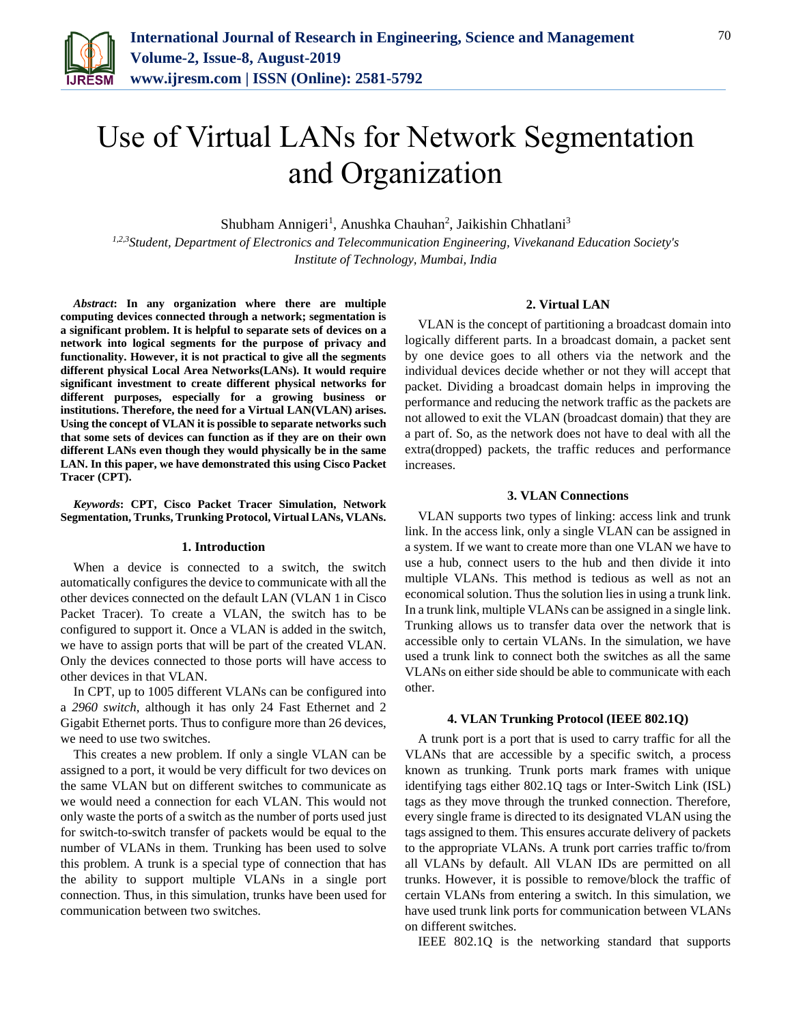

# Use of Virtual LANs for Network Segmentation and Organization

Shubham Annigeri<sup>1</sup>, Anushka Chauhan<sup>2</sup>, Jaikishin Chhatlani<sup>3</sup>

*1,2,3Student, Department of Electronics and Telecommunication Engineering, Vivekanand Education Society's Institute of Technology, Mumbai, India*

*Abstract***: In any organization where there are multiple computing devices connected through a network; segmentation is a significant problem. It is helpful to separate sets of devices on a network into logical segments for the purpose of privacy and functionality. However, it is not practical to give all the segments different physical Local Area Networks(LANs). It would require significant investment to create different physical networks for different purposes, especially for a growing business or institutions. Therefore, the need for a Virtual LAN(VLAN) arises. Using the concept of VLAN it is possible to separate networks such that some sets of devices can function as if they are on their own different LANs even though they would physically be in the same LAN. In this paper, we have demonstrated this using Cisco Packet Tracer (CPT).**

*Keywords***: CPT, Cisco Packet Tracer Simulation, Network Segmentation, Trunks, Trunking Protocol, Virtual LANs, VLANs.**

#### **1. Introduction**

When a device is connected to a switch, the switch automatically configures the device to communicate with all the other devices connected on the default LAN (VLAN 1 in Cisco Packet Tracer). To create a VLAN, the switch has to be configured to support it. Once a VLAN is added in the switch, we have to assign ports that will be part of the created VLAN. Only the devices connected to those ports will have access to other devices in that VLAN.

In CPT, up to 1005 different VLANs can be configured into a *2960 switch*, although it has only 24 Fast Ethernet and 2 Gigabit Ethernet ports. Thus to configure more than 26 devices, we need to use two switches.

This creates a new problem. If only a single VLAN can be assigned to a port, it would be very difficult for two devices on the same VLAN but on different switches to communicate as we would need a connection for each VLAN. This would not only waste the ports of a switch as the number of ports used just for switch-to-switch transfer of packets would be equal to the number of VLANs in them. Trunking has been used to solve this problem. A trunk is a special type of connection that has the ability to support multiple VLANs in a single port connection. Thus, in this simulation, trunks have been used for communication between two switches.

# **2. Virtual LAN**

VLAN is the concept of partitioning a broadcast domain into logically different parts. In a broadcast domain, a packet sent by one device goes to all others via the network and the individual devices decide whether or not they will accept that packet. Dividing a broadcast domain helps in improving the performance and reducing the network traffic as the packets are not allowed to exit the VLAN (broadcast domain) that they are a part of. So, as the network does not have to deal with all the extra(dropped) packets, the traffic reduces and performance increases.

## **3. VLAN Connections**

VLAN supports two types of linking: access link and trunk link. In the access link, only a single VLAN can be assigned in a system. If we want to create more than one VLAN we have to use a hub, connect users to the hub and then divide it into multiple VLANs. This method is tedious as well as not an economical solution. Thus the solution lies in using a trunk link. In a trunk link, multiple VLANs can be assigned in a single link. Trunking allows us to transfer data over the network that is accessible only to certain VLANs. In the simulation, we have used a trunk link to connect both the switches as all the same VLANs on either side should be able to communicate with each other.

## **4. VLAN Trunking Protocol (IEEE 802.1Q)**

A trunk port is a port that is used to carry traffic for all the VLANs that are accessible by a specific switch, a process known as trunking. Trunk ports mark frames with unique identifying tags either 802.1Q tags or Inter-Switch Link (ISL) tags as they move through the trunked connection. Therefore, every single frame is directed to its designated VLAN using the tags assigned to them. This ensures accurate delivery of packets to the appropriate VLANs. A trunk port carries traffic to/from all VLANs by default. All VLAN IDs are permitted on all trunks. However, it is possible to remove/block the traffic of certain VLANs from entering a switch. In this simulation, we have used trunk link ports for communication between VLANs on different switches.

IEEE 802.1Q is the networking standard that supports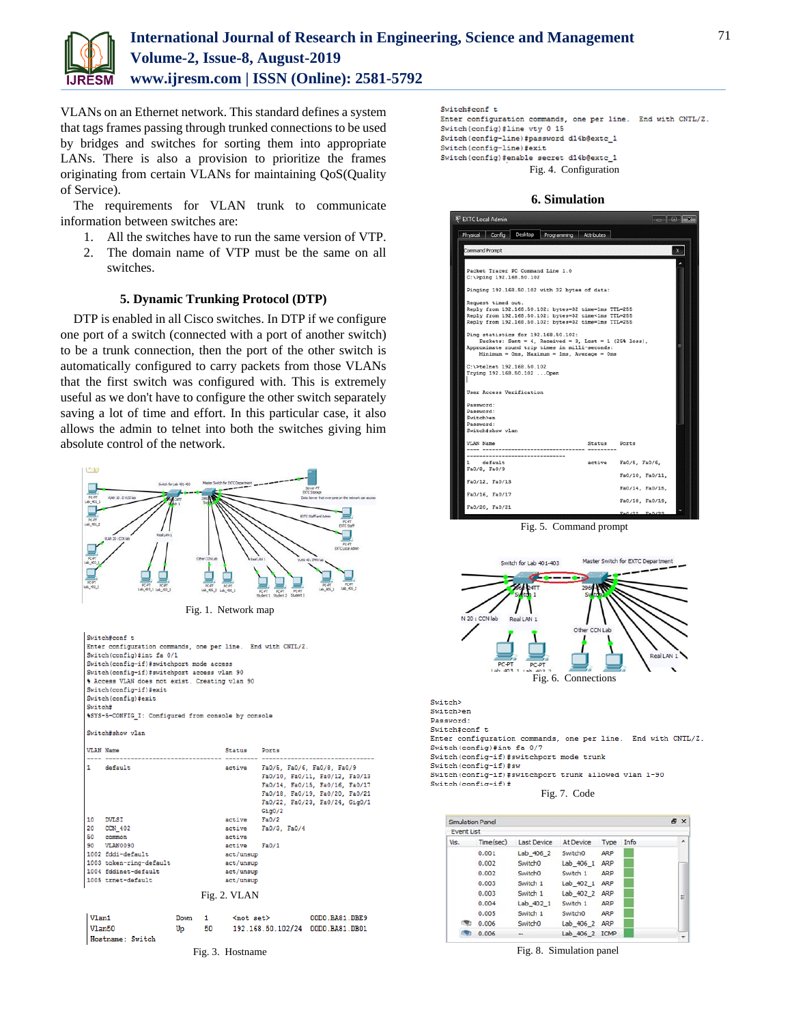

VLANs on an Ethernet network. This standard defines a system that tags frames passing through trunked connections to be used by bridges and switches for sorting them into appropriate LANs. There is also a provision to prioritize the frames originating from certain VLANs for maintaining QoS(Quality of Service).

The requirements for VLAN trunk to communicate information between switches are:

- 1. All the switches have to run the same version of VTP.
- 2. The domain name of VTP must be the same on all switches.

# **5. Dynamic Trunking Protocol (DTP)**

DTP is enabled in all Cisco switches. In DTP if we configure one port of a switch (connected with a port of another switch) to be a trunk connection, then the port of the other switch is automatically configured to carry packets from those VLANs that the first switch was configured with. This is extremely useful as we don't have to configure the other switch separately saving a lot of time and effort. In this particular case, it also allows the admin to telnet into both the switches giving him absolute control of the network.



```
Switch#conf t
Enter configuration commands, one per line. End with CNTL/Z.
Switch (config) #line vty 0 15
Switch (config-line) #password d14b@extc 1
Switch (config-line) #exit
Switch(config)#enable secret d14b@extc_1
                    Fig. 4. Configuration
```
#### **6. Simulation**

| <b>Command Prompt</b><br>Packet Tracer PC Command Line 1.0<br>C:\>ping 192.168.50.102<br>Pinging 192.168.50.102 with 32 bytes of data:<br>Request timed out.<br>Reply from 192.168.50.102: bytes=32 time=1ms TTL=255<br>Reply from 192.168.50.102: bytes=32 time<1ms TTL=255<br>Reply from 192.168.50.102: bytes=32 time=1ms TTL=255<br>Ping statistics for 192.168.50.102:<br>Packets: Sent = 4, Received = 3, Lost = 1 (25% loss),<br>Approximate round trip times in milli-seconds:<br>$Minimum = 0ms$ , $Maximum = 1ms$ , $Average = 0ms$<br>C:\>telnet 192.168.50.102<br>Trying 192.168.50.102  Open<br>User Access Verification<br>Password:<br>Password:<br>Switch>en<br>Password:<br>Switch#show vlan<br><b>VLAN Name</b><br>Ports<br>Status<br>----------------------------<br>default<br>active<br>Fa0/5, Fa0/6,<br>1.<br>Fa0/8, Fa0/9<br>Fa0/10, Fa0/11.<br>Fa0/12, Fa0/13<br>Fa0/14, Fa0/15,<br>Fa0/16, Fa0/17 | Physical | Config | Desktop | Programming | Attributes |  |
|----------------------------------------------------------------------------------------------------------------------------------------------------------------------------------------------------------------------------------------------------------------------------------------------------------------------------------------------------------------------------------------------------------------------------------------------------------------------------------------------------------------------------------------------------------------------------------------------------------------------------------------------------------------------------------------------------------------------------------------------------------------------------------------------------------------------------------------------------------------------------------------------------------------------------|----------|--------|---------|-------------|------------|--|
|                                                                                                                                                                                                                                                                                                                                                                                                                                                                                                                                                                                                                                                                                                                                                                                                                                                                                                                            |          |        |         |             |            |  |
|                                                                                                                                                                                                                                                                                                                                                                                                                                                                                                                                                                                                                                                                                                                                                                                                                                                                                                                            |          |        |         |             |            |  |
|                                                                                                                                                                                                                                                                                                                                                                                                                                                                                                                                                                                                                                                                                                                                                                                                                                                                                                                            |          |        |         |             |            |  |
|                                                                                                                                                                                                                                                                                                                                                                                                                                                                                                                                                                                                                                                                                                                                                                                                                                                                                                                            |          |        |         |             |            |  |
|                                                                                                                                                                                                                                                                                                                                                                                                                                                                                                                                                                                                                                                                                                                                                                                                                                                                                                                            |          |        |         |             |            |  |
|                                                                                                                                                                                                                                                                                                                                                                                                                                                                                                                                                                                                                                                                                                                                                                                                                                                                                                                            |          |        |         |             |            |  |
|                                                                                                                                                                                                                                                                                                                                                                                                                                                                                                                                                                                                                                                                                                                                                                                                                                                                                                                            |          |        |         |             |            |  |
|                                                                                                                                                                                                                                                                                                                                                                                                                                                                                                                                                                                                                                                                                                                                                                                                                                                                                                                            |          |        |         |             |            |  |
|                                                                                                                                                                                                                                                                                                                                                                                                                                                                                                                                                                                                                                                                                                                                                                                                                                                                                                                            |          |        |         |             |            |  |
|                                                                                                                                                                                                                                                                                                                                                                                                                                                                                                                                                                                                                                                                                                                                                                                                                                                                                                                            |          |        |         |             |            |  |
|                                                                                                                                                                                                                                                                                                                                                                                                                                                                                                                                                                                                                                                                                                                                                                                                                                                                                                                            |          |        |         |             |            |  |
|                                                                                                                                                                                                                                                                                                                                                                                                                                                                                                                                                                                                                                                                                                                                                                                                                                                                                                                            |          |        |         |             |            |  |
|                                                                                                                                                                                                                                                                                                                                                                                                                                                                                                                                                                                                                                                                                                                                                                                                                                                                                                                            |          |        |         |             |            |  |
|                                                                                                                                                                                                                                                                                                                                                                                                                                                                                                                                                                                                                                                                                                                                                                                                                                                                                                                            |          |        |         |             |            |  |
|                                                                                                                                                                                                                                                                                                                                                                                                                                                                                                                                                                                                                                                                                                                                                                                                                                                                                                                            |          |        |         |             |            |  |
|                                                                                                                                                                                                                                                                                                                                                                                                                                                                                                                                                                                                                                                                                                                                                                                                                                                                                                                            |          |        |         |             |            |  |
|                                                                                                                                                                                                                                                                                                                                                                                                                                                                                                                                                                                                                                                                                                                                                                                                                                                                                                                            |          |        |         |             |            |  |
|                                                                                                                                                                                                                                                                                                                                                                                                                                                                                                                                                                                                                                                                                                                                                                                                                                                                                                                            |          |        |         |             |            |  |
|                                                                                                                                                                                                                                                                                                                                                                                                                                                                                                                                                                                                                                                                                                                                                                                                                                                                                                                            |          |        |         |             |            |  |

Fig. 5. Command prompt



Switch> Switch>en Password: Switch#conf t Enter configuration commands, one per line. End with CNTL/Z. Switch(config)#int fa 0/7 Switch (config-if) #switchport mode trunk Switch(config-if)#sw Switch(config-if)#switchport trunk allowed vlan 1-90 Switch(config-if)# Fig. 7. Code

| Simulation Panel |           |                     |                     |            |      | <b>A</b> X |
|------------------|-----------|---------------------|---------------------|------------|------|------------|
| Event List       |           |                     |                     |            |      |            |
| Vis.             | Time(sec) | <b>Last Device</b>  | At Device           | Type       | Info | ٠          |
|                  | 0.001     | Lab 406 2           | Switch <sub>0</sub> | ARP        |      |            |
|                  | 0.002     | Switch <sub>0</sub> | Lab 406 1           | ARP        |      |            |
|                  | 0.002     | Switch <sub>0</sub> | Switch 1            | <b>ARP</b> |      |            |
|                  | 0.003     | Switch 1            | Lab 402 1           | <b>ARP</b> |      |            |
|                  | 0.003     | Switch 1            | Lab 402 2           | <b>ARP</b> |      | Ξ          |
|                  | 0.004     | Lab 402 1           | Switch 1            | ARP        |      |            |
|                  | 0.005     | Switch 1            | Switch <sub>0</sub> | ARP        |      |            |
|                  | 0.006     | Switch <sub>0</sub> | Lab 406 2 ARP       |            |      |            |
|                  | 0.006     | sin.                | Lab 406 2 ICMP      |            |      |            |

Fig. 8. Simulation panel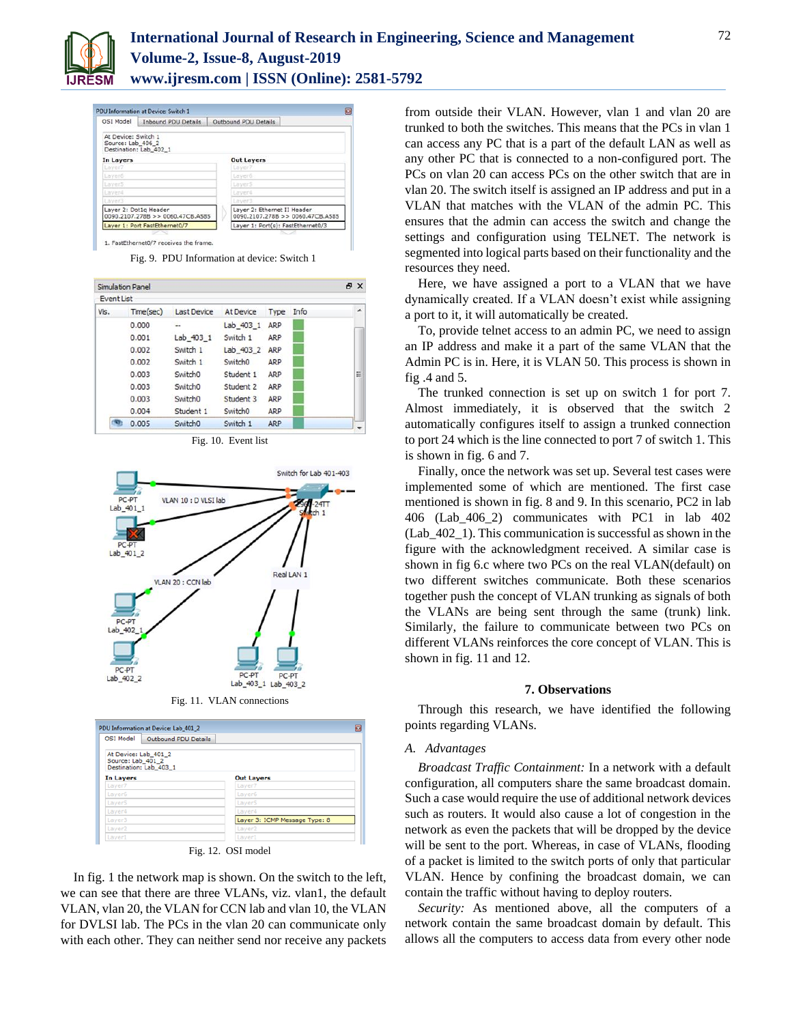

| <b>PDU Information at Device: Switch 1</b>                |                               |  |                                                                 |  |  |  |
|-----------------------------------------------------------|-------------------------------|--|-----------------------------------------------------------------|--|--|--|
| OSI Model                                                 | <b>Inbound PDU Details</b>    |  | Outbound PDU Details                                            |  |  |  |
| At Device: Switch 1<br>Source: Lab_406_2                  | Destination: Lab 402_1        |  |                                                                 |  |  |  |
| In Layers                                                 |                               |  | <b>Out Layers</b>                                               |  |  |  |
| Laver7                                                    |                               |  | Laver7                                                          |  |  |  |
| Laver6                                                    |                               |  | Laver6                                                          |  |  |  |
| Laver5                                                    |                               |  | LayerS                                                          |  |  |  |
| Layer4                                                    |                               |  | Layer4                                                          |  |  |  |
| Laver3                                                    |                               |  | Laver3                                                          |  |  |  |
| Laver 2: Dot1g Header<br>0090.2107.278B >> 0060.47CB.A585 |                               |  | Laver 2: Ethernet II Header<br>0090.2107.278B >> 0060.47CB.A585 |  |  |  |
|                                                           | Layer 1: Port FastEthernet0/7 |  | Layer 1: Port(s): FastEthernet0/3                               |  |  |  |
|                                                           |                               |  |                                                                 |  |  |  |

1. FastEthernet0/7 receives the frame

Fig. 9. PDU Information at device: Switch 1

|                   | Simulation Panel |                     |                     |            |      | a x |
|-------------------|------------------|---------------------|---------------------|------------|------|-----|
| <b>Event List</b> |                  |                     |                     |            |      |     |
| Vis.              | Time(sec)        | <b>Last Device</b>  | At Device           | Type       | Info | ▴   |
|                   | 0.000            | ÷                   | $Lab$ 403 1         | ARP        |      |     |
|                   | 0.001            | Lab 403 1           | Switch 1            | ARP        |      |     |
|                   | 0.002            | Switch 1            | Lab 403 2           | ARP        |      |     |
|                   | 0.002            | Switch 1            | Switch <sub>0</sub> | <b>ARP</b> |      |     |
|                   | 0.003            | Switch <sub>0</sub> | Student 1           | ARP        |      | 뜐   |
|                   | 0.003            | Switch <sub>0</sub> | Student 2           | ARP        |      |     |
|                   | 0.003            | Switch <sub>0</sub> | Student 3           | ARP        |      |     |
|                   | 0.004            | Student 1           | Switch <sub>0</sub> | ARP        |      |     |
|                   | 0.005            | Switch <sub>0</sub> | Switch 1            | ARP        |      |     |

Fig. 10. Event list



Fig. 11. VLAN connections

| <b>OSI Model</b><br><b>Outbound PDU Details</b>                     |                               |
|---------------------------------------------------------------------|-------------------------------|
| At Device: Lab 401 2<br>Source: Lab 401 2<br>Destination: Lab 403 1 |                               |
| <b>In Layers</b>                                                    | <b>Out Layers</b>             |
| Laver7                                                              | Laver7                        |
| Layer6                                                              | Layer6                        |
| Laver5                                                              | Laver5                        |
| Layer4                                                              | Laver4                        |
| Laver <sub>3</sub>                                                  | Layer 3: ICMP Message Type: 8 |
| Laver <sub>2</sub>                                                  | Laver <sub>2</sub>            |
| Laver1                                                              | Laver1                        |

In fig. 1 the network map is shown. On the switch to the left, we can see that there are three VLANs, viz. vlan1, the default VLAN, vlan 20, the VLAN for CCN lab and vlan 10, the VLAN for DVLSI lab. The PCs in the vlan 20 can communicate only with each other. They can neither send nor receive any packets from outside their VLAN. However, vlan 1 and vlan 20 are trunked to both the switches. This means that the PCs in vlan 1 can access any PC that is a part of the default LAN as well as any other PC that is connected to a non-configured port. The PCs on vlan 20 can access PCs on the other switch that are in vlan 20. The switch itself is assigned an IP address and put in a VLAN that matches with the VLAN of the admin PC. This ensures that the admin can access the switch and change the settings and configuration using TELNET. The network is segmented into logical parts based on their functionality and the resources they need.

Here, we have assigned a port to a VLAN that we have dynamically created. If a VLAN doesn't exist while assigning a port to it, it will automatically be created.

To, provide telnet access to an admin PC, we need to assign an IP address and make it a part of the same VLAN that the Admin PC is in. Here, it is VLAN 50. This process is shown in fig .4 and 5.

The trunked connection is set up on switch 1 for port 7. Almost immediately, it is observed that the switch 2 automatically configures itself to assign a trunked connection to port 24 which is the line connected to port 7 of switch 1. This is shown in fig. 6 and 7.

Finally, once the network was set up. Several test cases were implemented some of which are mentioned. The first case mentioned is shown in fig. 8 and 9. In this scenario, PC2 in lab 406 (Lab\_406\_2) communicates with PC1 in lab 402 (Lab\_402\_1). This communication is successful as shown in the figure with the acknowledgment received. A similar case is shown in fig 6.c where two PCs on the real VLAN(default) on two different switches communicate. Both these scenarios together push the concept of VLAN trunking as signals of both the VLANs are being sent through the same (trunk) link. Similarly, the failure to communicate between two PCs on different VLANs reinforces the core concept of VLAN. This is shown in fig. 11 and 12.

#### **7. Observations**

Through this research, we have identified the following points regarding VLANs.

## *A. Advantages*

*Broadcast Traffic Containment:* In a network with a default configuration, all computers share the same broadcast domain. Such a case would require the use of additional network devices such as routers. It would also cause a lot of congestion in the network as even the packets that will be dropped by the device will be sent to the port. Whereas, in case of VLANs, flooding of a packet is limited to the switch ports of only that particular VLAN. Hence by confining the broadcast domain, we can contain the traffic without having to deploy routers.

*Security:* As mentioned above, all the computers of a network contain the same broadcast domain by default. This allows all the computers to access data from every other node